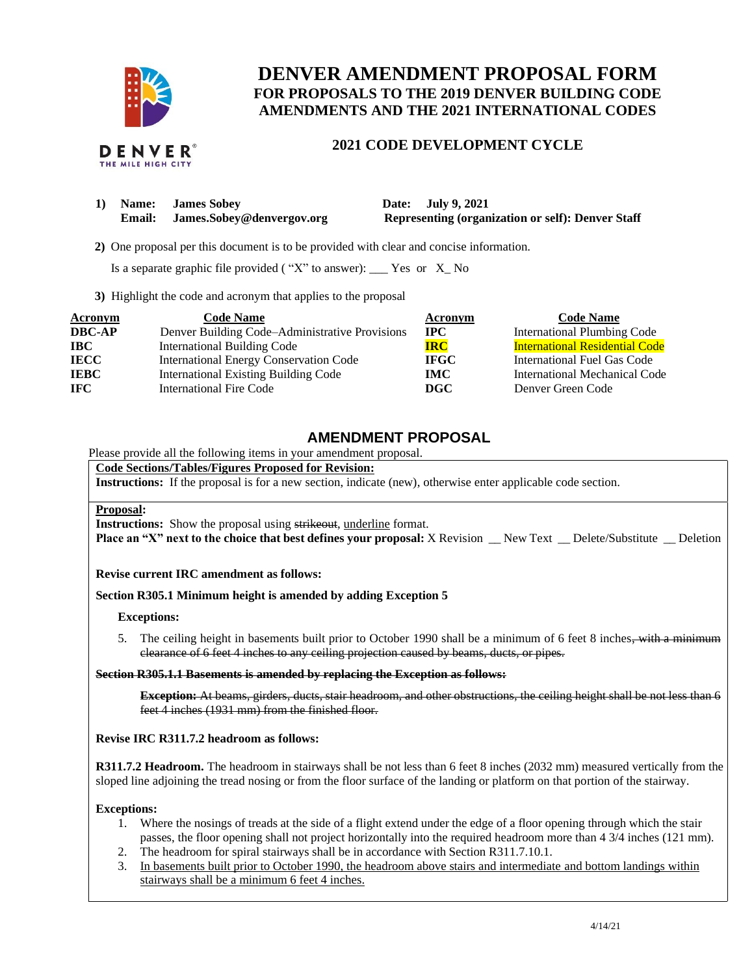

# **DENVER AMENDMENT PROPOSAL FORM FOR PROPOSALS TO THE 2019 DENVER BUILDING CODE AMENDMENTS AND THE 2021 INTERNATIONAL CODES**

## **2021 CODE DEVELOPMENT CYCLE**

| 1) | Name: James Sobey                | Date: July 9, 2021                                       |
|----|----------------------------------|----------------------------------------------------------|
|    | Email: James.Sobey@denvergov.org | <b>Representing (organization or self): Denver Staff</b> |

 **2)** One proposal per this document is to be provided with clear and concise information.

Is a separate graphic file provided ( "X" to answer): \_\_\_ Yes or X\_ No

**3)** Highlight the code and acronym that applies to the proposal

| <b>Acronym</b> | <b>Code Name</b>                               | Acronym      | <b>Code Name</b>                      |
|----------------|------------------------------------------------|--------------|---------------------------------------|
| <b>DBC-AP</b>  | Denver Building Code-Administrative Provisions | $_{\rm IPC}$ | <b>International Plumbing Code</b>    |
| <b>IBC</b>     | <b>International Building Code</b>             | <b>IRC</b>   | <b>International Residential Code</b> |
| <b>IECC</b>    | <b>International Energy Conservation Code</b>  | <b>IFGC</b>  | International Fuel Gas Code           |
| <b>IEBC</b>    | <b>International Existing Building Code</b>    | IMC .        | International Mechanical Code         |
| <b>IFC</b>     | International Fire Code                        | DGC.         | Denver Green Code                     |

## **AMENDMENT PROPOSAL**

Please provide all the following items in your amendment proposal.

## **Code Sections/Tables/Figures Proposed for Revision:**

**Instructions:** If the proposal is for a new section, indicate (new), otherwise enter applicable code section.

#### **Proposal:**

**Instructions:** Show the proposal using strikeout, underline format.

**Place an "X" next to the choice that best defines your proposal:** X Revision \_\_ New Text \_\_ Delete/Substitute \_\_ Deletion

## **Revise current IRC amendment as follows:**

## **Section R305.1 Minimum height is amended by adding Exception 5**

#### **Exceptions:**

5. The ceiling height in basements built prior to October 1990 shall be a minimum of 6 feet 8 inches, with a minimum clearance of 6 feet 4 inches to any ceiling projection caused by beams, ducts, or pipes.

#### **Section R305.1.1 Basements is amended by replacing the Exception as follows:**

**Exception:** At beams, girders, ducts, stair headroom, and other obstructions, the ceiling height shall be not less than 6 feet 4 inches (1931 mm) from the finished floor.

#### **Revise IRC R311.7.2 headroom as follows:**

**R311.7.2 Headroom.** The headroom in stairways shall be not less than 6 feet 8 inches (2032 mm) measured vertically from the sloped line adjoining the tread nosing or from the floor surface of the landing or platform on that portion of the stairway.

## **Exceptions:**

- 1. Where the nosings of treads at the side of a flight extend under the edge of a floor opening through which the stair passes, the floor opening shall not project horizontally into the required headroom more than 4 3/4 inches (121 mm).
- 2. The headroom for spiral stairways shall be in accordance with Section R311.7.10.1.
- 3. In basements built prior to October 1990, the headroom above stairs and intermediate and bottom landings within stairways shall be a minimum 6 feet 4 inches.